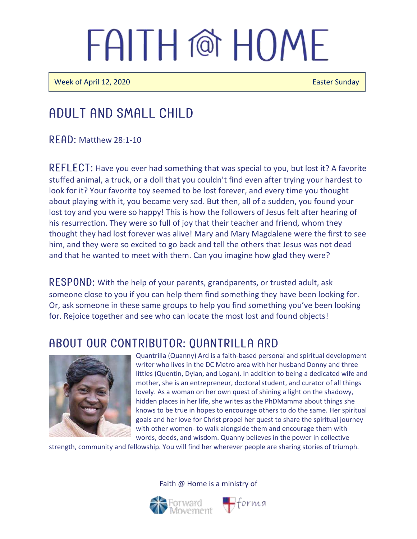**Week of April 12, 2020 Easter Sunday** 

### Adult and Small Child

 $R$  FAD: Matthew 28:1-10

REFLECT: Have you ever had something that was special to you, but lost it? A favorite stuffed animal, a truck, or a doll that you couldn't find even after trying your hardest to look for it? Your favorite toy seemed to be lost forever, and every time you thought about playing with it, you became very sad. But then, all of a sudden, you found your lost toy and you were so happy! This is how the followers of Jesus felt after hearing of his resurrection. They were so full of joy that their teacher and friend, whom they thought they had lost forever was alive! Mary and Mary Magdalene were the first to see him, and they were so excited to go back and tell the others that Jesus was not dead and that he wanted to meet with them. Can you imagine how glad they were?

RESPOND: With the help of your parents, grandparents, or trusted adult, ask someone close to you if you can help them find something they have been looking for. Or, ask someone in these same groups to help you find something you've been looking for. Rejoice together and see who can locate the most lost and found objects!

### ABOUT OUR CONTRIBUTOR: QUANTRILLA ARD



Quantrilla (Quanny) Ard is a faith-based personal and spiritual development writer who lives in the DC Metro area with her husband Donny and three littles (Quentin, Dylan, and Logan). In addition to being a dedicated wife and mother, she is an entrepreneur, doctoral student, and curator of all things lovely. As a woman on her own quest of shining a light on the shadowy, hidden places in her life, she writes as the PhDMamma about things she knows to be true in hopes to encourage others to do the same. Her spiritual goals and her love for Christ propel her quest to share the spiritual journey with other women- to walk alongside them and encourage them with words, deeds, and wisdom. Quanny believes in the power in collective

strength, community and fellowship. You will find her wherever people are sharing stories of triumph.

Faith @ Home is a ministry of

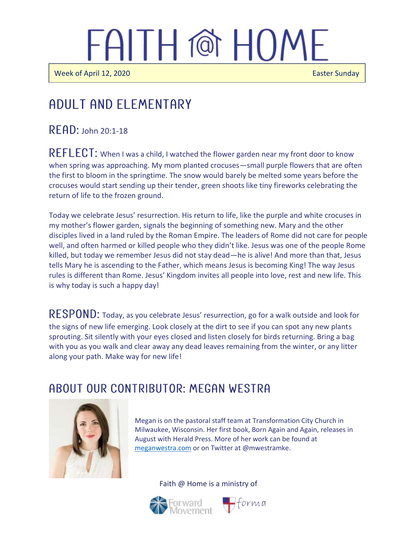Week of April 12, 2020 **Easter Sunday Easter Sunday** 

 $\overline{\phantom{a}}$ 

Ī

### Adult and elementary

 $READ:$  John 20:1-18

REFLECT: When I was a child, I watched the flower garden near my front door to know when spring was approaching. My mom planted crocuses—small purple flowers that are often the first to bloom in the springtime. The snow would barely be melted some years before the crocuses would start sending up their tender, green shoots like tiny fireworks celebrating the return of life to the frozen ground.

Today we celebrate Jesus' resurrection. His return to life, like the purple and white crocuses in my mother's flower garden, signals the beginning of something new. Mary and the other disciples lived in a land ruled by the Roman Empire. The leaders of Rome did not care for people well, and often harmed or killed people who they didn't like. Jesus was one of the people Rome killed, but today we remember Jesus did not stay dead—he is alive! And more than that, Jesus tells Mary he is ascending to the Father, which means Jesus is becoming King! The way Jesus rules is different than Rome. Jesus' Kingdom invites all people into love, rest and new life. This is why today is such a happy day!

RESPOND: Today, as you celebrate Jesus' resurrection, go for a walk outside and look for the signs of new life emerging. Look closely at the dirt to see if you can spot any new plants sprouting. Sit silently with your eyes closed and listen closely for birds returning. Bring a bag with you as you walk and clear away any dead leaves remaining from the winter, or any litter along your path. Make way for new life!

#### A BOUT OUR CONTRIBUTOR: MEGAN WESTRA



Megan is on the pastoral staff team at Transformation City Church in Milwaukee, Wisconsin. Her first book, Born Again and Again, releases in August with Herald Press. More of her work can be found at [meganwestra.com](https://meganwestra.com/) or on Twitter at @mwestramke.

Faith @ Home is a ministry of



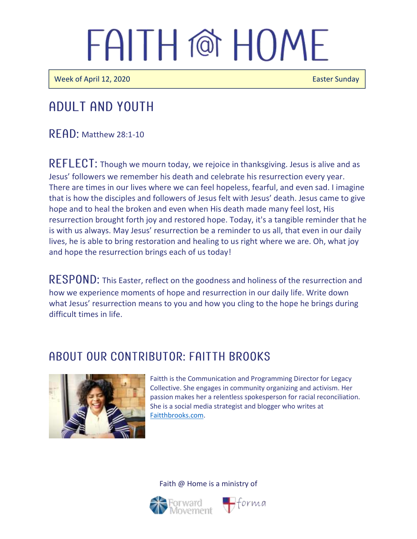Week of April 12, 2020 **Easter Sunday** Easter Sunday

### Adult and youth

 $R$  $F$  $A$  $D$ : Matthew 28:1-10

REFLECT: Though we mourn today, we rejoice in thanksgiving. Jesus is alive and as Jesus' followers we remember his death and celebrate his resurrection every year. There are times in our lives where we can feel hopeless, fearful, and even sad. I imagine that is how the disciples and followers of Jesus felt with Jesus' death. Jesus came to give hope and to heal the broken and even when His death made many feel lost, His resurrection brought forth joy and restored hope. Today, it's a tangible reminder that he is with us always. May Jesus' resurrection be a reminder to us all, that even in our daily lives, he is able to bring restoration and healing to us right where we are. Oh, what joy and hope the resurrection brings each of us today!

RESPOND: This Easter, reflect on the goodness and holiness of the resurrection and how we experience moments of hope and resurrection in our daily life. Write down what Jesus' resurrection means to you and how you cling to the hope he brings during difficult times in life.

#### A BOUT OUR CONTRIBUTOR: FAITTH BROOKS



Faitth is the Communication and Programming Director for Legacy Collective. She engages in community organizing and activism. Her passion makes her a relentless spokesperson for racial reconciliation. She is a social media strategist and blogger who writes at [Faitthbrooks.com.](https://faitthbrooks.com/)

Faith @ Home is a ministry of